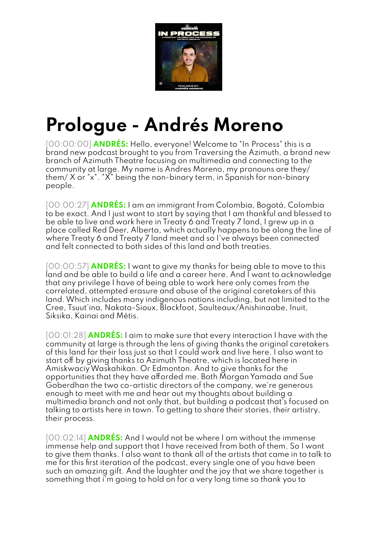

## **Prologue - Andrés Moreno**

[00:00:00] **ANDRÉS:** Hello, everyone!Welcome to "In Process" this is a brand new podcast brought to you from Traversing the Azimuth, a brand new branch of Azimuth Theatre focusing on multimedia and connecting to the community at large. My name is Andres Moreno, my pronouns are they/ them/ X or "x". "X" being the non-binary term, in Spanish for non-binary people.

[00:00:27] **ANDRÉS:** I am an immigrant from Colombia, Bogotá, Colombia to be exact. And I just want to start by saying that I am thankful and blessed to be able to live and work here in Treaty 6 and Treaty 7 land, I grew up in a place called Red Deer, Alberta, which actually happens to be along the line of where Treaty 6 and Treaty 7 land meet and so I've always been connected and felt connected to both sides of this land and both treaties.

[00:00:57] **ANDRÉS:** I want to give my thanks for being able to move to this land and be able to build a life and a career here. And I want to acknowledge that any privilege I have of being able to work here only comes from the correlated, attempted erasure and abuse of the original caretakers of this land.Which includes many indigenous nations including, but not limited to the Cree, Tsuut'ina, Nakota-Sioux, Blackfoot, Saulteaux/Anishinaabe, Inuit, Siksika, Kainai and Métis.

[00:01:28] **ANDRÉS:** I aim to make sure that every interaction I have with the community at large is through the lens of giving thanks the original caretakers of this land for their loss just so that I could work and live here. I also want to start off by giving thanks to Azimuth Theatre, which is located here in AmiskwaciyWaskahikan. Or Edmonton. And to give thanks for the opportunities that they have afforded me. Both Morgan Yamada and Sue Goberdhan the two co-artistic directors of the company, we're generous enough to meet with me and hear out my thoughts about building a multimedia branch and not only that, but building a podcast that's focused on talking to artists here in town. To getting to share their stories, their artistry, their process.

[00:02:14] **ANDRÉS:** And I would not be where I am without the immense immense help and support that I have received from both of them. So I want to give them thanks. I also want to thank all of the artists that came in to talk to me for this first iteration of the podcast, every single one of you have been such an amazing gift. And the laughter and the joy that we share together is something that i'm going to hold on for a very long time so thank you to